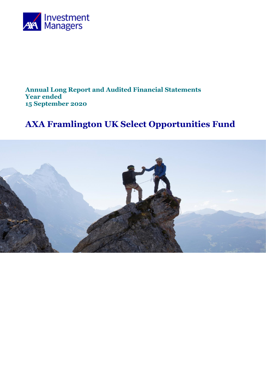

## **Annual Long Report and Audited Financial Statements Year ended 15 September 2020**

# **AXA Framlington UK Select Opportunities Fund**

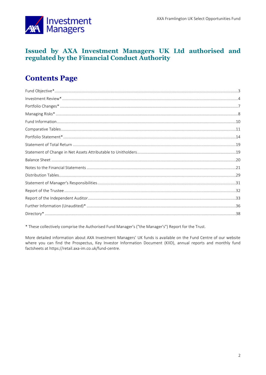

## Issued by AXA Investment Managers UK Ltd authorised and regulated by the Financial Conduct Authority

## **Contents Page**

\* These collectively comprise the Authorised Fund Manager's ("the Manager's") Report for the Trust.

More detailed information about AXA Investment Managers' UK funds is available on the Fund Centre of our website where you can find the Prospectus, Key Investor Information Document (KIID), annual reports and monthly fund factsheets at https://retail.axa-im.co.uk/fund-centre.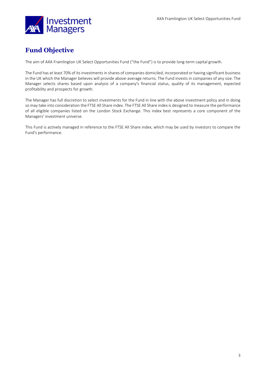

## <span id="page-2-0"></span>**Fund Objective**

The aim of AXA Framlington UK Select Opportunities Fund ("the Fund") is to provide long-term capital growth.

The Fund has at least 70% of its investments in shares of companies domiciled, incorporated or having significant business in the UK which the Manager believes will provide above-average returns. The Fund invests in companies of any size. The Manager selects shares based upon analysis of a company's financial status, quality of its management, expected profitability and prospects for growth.

The Manager has full discretion to select investments for the Fund in line with the above investment policy and in doing so may take into consideration the FTSE All Share index. The FTSE All Share index is designed to measure the performance of all eligible companies listed on the London Stock Exchange. This index best represents a core component of the Managers' investment universe.

This Fund is actively managed in reference to the FTSE All Share index, which may be used by investors to compare the Fund's performance.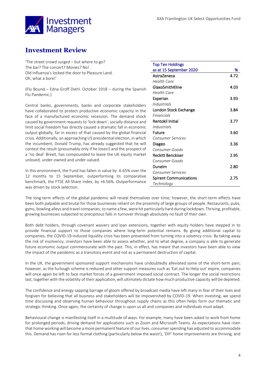

## <span id="page-3-0"></span>**Investment Review**

'The street crowd surged – but where to go? The bar? The concert? Movies? No! Old Influenza's locked the door to Pleasure Land. Oh, what a bore!'

(Flu Bound – Edna Groff Diehl. October 1918 – during the Spanish Flu Pandemic.)

Central banks, governments, banks and corporate stakeholders have collaborated to protect productive economic capacity in the face of a manufactured economic recession. The demand shock caused by government requests to 'lock down', socially distance and limit social freedom has directly caused a dramatic fall in economic output globally, far in excess of that caused by the global financial crisis. Additionally, an approaching US presidential election, in which the incumbent, Donald Trump, has already suggested that he will contest the result (presumably only if he loses!) and the prospect of a 'no deal' Brexit, has compounded to leave the UK equity market unloved, under-owned and under-valued.

In this environment, the Fund has fallen in value by -6.65% over the 12 months to 15 September, outperforming its comparative benchmark, the FTSE All-Share index, by +6.56%. Outperformance was driven by stock selection.

| <b>Top Ten Holdings</b>       |      |
|-------------------------------|------|
| as at 15 September 2020       | %    |
| AstraZeneca                   | 4.72 |
| Health Care                   |      |
| GlaxoSmithKline               | 4.03 |
| Health Care                   |      |
| Experian                      | 3.93 |
| Industrials                   |      |
| London Stock Exchange         | 3.84 |
| Financials                    |      |
| <b>Rentokil Initial</b>       | 3.77 |
| Industrials                   |      |
| Future                        | 3.60 |
| <b>Consumer Services</b>      |      |
| Diageo                        | 3.36 |
| Consumer Goods                |      |
| Reckitt Benckiser             | 2.95 |
| Consumer Goods                |      |
| Dunelm                        | 2.80 |
| <b>Consumer Services</b>      |      |
| <b>Spirent Communications</b> | 2.75 |
| Technology                    |      |

The long-term effects of the global pandemic will reveal themselves over time; however, the short-term effects have been both palpable and brutal for those businesses reliant on the proximity of large groups of people. Restaurants, pubs, gyms, bowling alleys and travel companies, to name a few, were hit particularly hard during lockdown. Thriving, profitable, growing businesses subjected to precipitous falls in turnover through absolutely no fault of their own.

Both debt holders, through covenant waivers and loan extensions, together with equity holders have stepped in to provide financial support to those companies where long-term potential remains. By giving additional capital to companies, the COVID-19-induced liquidity crisis has been prevented from turning into a solvency crisis. By taking away the risk of insolvency, investors have been able to assess whether, and to what degree, a company is able to generate future economic output commensurate with the past. This, in effect, has meant that investors have been able to view the impact of the pandemic as a transitory event and not as a permanent destruction of capital.

In the UK, the government sponsored support mechanisms have undoubtedly alleviated some of the short-term pain; however, as the furlough scheme is reduced and other support measures such as 'Eat out to Help out' expire, companies will once again be left to face market forces of a government imposed social contract. The longer the social restrictions last, together with the volatility of their application, will ultimately dictate how much productive capacity will be depleted.

The confidence and energy sapping barrage of gloom offered by broadcast media have left many in fear of their lives and forgiven for believing that all business and stakeholders will be impoverished by COVID-19. When investing, we spend time discussing and observing human behaviour throughout supply chains as this often helps form our thematic and strategic thinking. Once again, the certainty of change is upon us all and companies and individuals must adapt.

Behavioural change is manifesting itself in a multitude of ways. For example, many have been asked to work from home for prolonged periods, driving demand for applications such as Zoom and Microsoft Teams. As expectations have risen that home working will become a more permanent feature of our lives, consumer spending has adjusted to accommodate this. Demand has risen for less formal clothing (particularly below the waist!), 'DIY' home improvements are thriving, and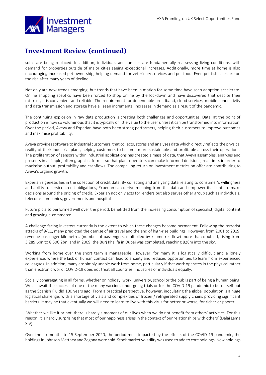

## **Investment Review (continued)**

sofas are being replaced. In addition, individuals and families are fundamentally reassessing living conditions, with demand for properties outside of major cities seeing exceptional increases. Additionally, more time at home is also encouraging increased pet ownership, helping demand for veterinary services and pet food. Even pet fish sales are on the rise after many years of decline.

Not only are new trends emerging, but trends that have been in motion for some time have seen adoption accelerate. Online shopping sceptics have been forced to shop online by the lockdown and have discovered that despite their mistrust, it is convenient and reliable. The requirement for dependable broadband, cloud services, mobile connectivity and data transmission and storage have all seen incremental increases in demand as a result of the pandemic.

The continuing explosion in raw data production is creating both challenges and opportunities. Data, at the point of production is now so voluminous that it is typically of little value to the user unless it can be transformed into information. Over the period, Aveva and Experian have both been strong performers, helping their customers to improve outcomes and maximise profitability.

Aveva provides software to industrial customers, that collects, stores and analyses data which directly reflects the physical reality of their industrial plant, helping customers to become more sustainable and profitable across their operations. The proliferation of sensors within industrial applications has created a mass of data, that Aveva assembles, analyses and presents in a simple, often graphical format so that plant operators can make informed decisions, real time, in order to maximise output, profitability and cashflows. The compelling return on investment metrics on offer are contributing to Aveva's organic growth.

Experian's genesis lies in the collection of credit data. By collecting and analysing data relating to consumer's willingness and ability to service credit obligations, Experian can derive meaning from this data and empower its clients to make decisions around the pricing of credit. Experian not only acts for lenders but also serves other group such as individuals, telecoms companies, governments and hospitals.

Future plc also performed well over the period, benefitted from the increasing consumption of specialist, digital content and growing e-commerce.

A challenge facing investors currently is the extent to which these changes become permanent. Following the terrorist attacks of 9/11, many predicted the demise of air travel and the end of high-rise buildings. However, from 2001 to 2019, revenue passenger kilometres (number of passengers, multiplied by kilometres flow) more than doubled, rising from 3,289.6bn to 8,506.2bn, and in 2009, the Burj Khalifa in Dubai was completed, reaching 828m into the sky.

Working from home over the short term is manageable. However, for many it is logistically difficult and a lonely experience, where the lack of human contact can lead to anxiety and reduced opportunities to learn from experienced colleagues. In addition, many are simply unable work from home, particularly if that work operates in the physical rather than electronic world. COVID-19 does not treat all countries, industries or individuals equally.

Socially congregating in all forms, whether on holiday, work, university, school or the pub is part of being a human being. We all await the success of one of the many vaccines undergoing trials or for the COVID-19 pandemic to burn itself out as the Spanish Flu did 100 years ago. From a practical perspective, however, inoculating the global population is a huge logistical challenge, with a shortage of vials and complexities of frozen / refrigerated supply chains providing significant barriers. It may be that eventually we will need to learn to live with this virus for better or worse, for richer or poorer.

'Whether we like it or not, there is hardly a moment of our lives when we do not benefit from others' activities. For this reason, it is hardly surprising that most of our happiness arises in the context of our relationships with others' (Dalai Lama XIV).

Over the six months to 15 September 2020, the period most impacted by the effects of the COVID-19 pandemic, the holdings in Johnson Matthey and Zegona were sold. Stock market volatility was used to add to core holdings. New holdings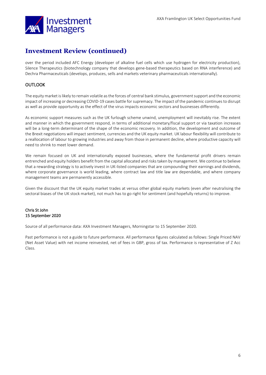

## **Investment Review (continued)**

over the period included AFC Energy (developer of alkaline fuel cells which use hydrogen for electricity production), Silence Therapeutics (biotechnology company that develops gene-based therapeutics based on RNA interference) and Dechra Pharmaceuticals (develops, produces, sells and markets veterinary pharmaceuticals internationally).

### **OUTLOOK**

The equity market is likely to remain volatile as the forces of central bank stimulus, government support and the economic impact of increasing or decreasing COVID-19 cases battle for supremacy. The impact of the pandemic continues to disrupt as well as provide opportunity as the effect of the virus impacts economic sectors and businesses differently.

As economic support measures such as the UK furlough scheme unwind, unemployment will inevitably rise. The extent and manner in which the government respond, in terms of additional monetary/fiscal support or via taxation increases will be a long-term determinant of the shape of the economic recovery. In addition, the development and outcome of the Brexit negotiations will impact sentiment, currencies and the UK equity market. UK labour flexibility will contribute to a reallocation of labour to growing industries and away from those in permanent decline, where productive capacity will need to shrink to meet lower demand.

We remain focused on UK and internationally exposed businesses, where the fundamental profit drivers remain entrenched and equity holders benefit from the capital allocated and risks taken by management. We continue to believe that a rewarding strategy is to actively invest in UK-listed companies that are compounding their earnings and dividends, where corporate governance is world leading, where contract law and title law are dependable, and where company management teams are permanently accessible.

Given the discount that the UK equity market trades at versus other global equity markets (even after neutralising the sectoral biases of the UK stock market), not much has to go right for sentiment (and hopefully returns) to improve.

#### Chris St John 15 September 2020

Source of all performance data: AXA Investment Managers, Morningstar to 15 September 2020.

Past performance is not a guide to future performance. All performance figures calculated as follows: Single Priced NAV (Net Asset Value) with net income reinvested, net of fees in GBP, gross of tax. Performance is representative of Z Acc Class.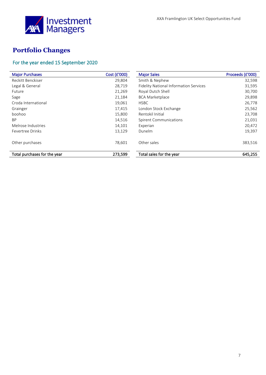

## <span id="page-6-0"></span>**Portfolio Changes**

## For the year ended 15 September 2020

| <b>Major Purchases</b>       | Cost (£'000) | <b>Major Sales</b>                            | Proceeds (£'000) |
|------------------------------|--------------|-----------------------------------------------|------------------|
| Reckitt Benckiser            | 29,804       | Smith & Nephew                                | 32,598           |
| Legal & General              | 28,719       | <b>Fidelity National Information Services</b> | 31,595           |
| <b>Future</b>                | 21,269       | Royal Dutch Shell                             | 30,700           |
| Sage                         | 21,184       | <b>BCA Marketplace</b>                        | 29,898           |
| Croda International          | 19,061       | <b>HSBC</b>                                   | 26,778           |
| Grainger                     | 17,415       | London Stock Exchange                         | 25,562           |
| boohoo                       | 15,800       | Rentokil Initial                              | 23,708           |
| <b>BP</b>                    | 14,516       | <b>Spirent Communications</b>                 | 21,031           |
| Melrose Industries           | 14,101       | Experian                                      | 20,472           |
| Fevertree Drinks             | 13,129       | Dunelm                                        | 19,397           |
| Other purchases              | 78,601       | Other sales                                   | 383,516          |
| Total purchases for the year | 273,599      | Total sales for the year                      | 645,255          |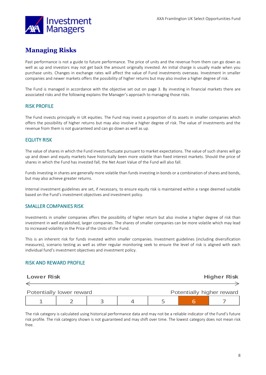

## <span id="page-7-0"></span>**Managing Risks**

Past performance is not a guide to future performance. The price of units and the revenue from them can go down as well as up and investors may not get back the amount originally invested. An initial charge is usually made when you purchase units. Changes in exchange rates will affect the value of Fund investments overseas. Investment in smaller companies and newer markets offers the possibility of higher returns but may also involve a higher degree of risk.

The Fund is managed in accordance with the objective set out on page 3. By investing in financial markets there are associated risks and the following explains the Manager's approach to managing those risks.

### RISK PROFILE

The Fund invests principally in UK equities. The Fund may invest a proportion of its assets in smaller companies which offers the possibility of higher returns but may also involve a higher degree of risk. The value of investments and the revenue from them is not guaranteed and can go down as well as up.

### EQUITY RISK

The value of shares in which the Fund invests fluctuate pursuant to market expectations. The value of such shares will go up and down and equity markets have historically been more volatile than fixed interest markets. Should the price of shares in which the Fund has invested fall, the Net Asset Value of the Fund will also fall.

Funds investing in shares are generally more volatile than funds investing in bonds or a combination of shares and bonds, but may also achieve greater returns.

Internal investment guidelines are set, if necessary, to ensure equity risk is maintained within a range deemed suitable based on the Fund's investment objectives and investment policy.

### SMALLER COMPANIES RISK

Investments in smaller companies offers the possibility of higher return but also involve a higher degree of risk than investment in well established, larger companies. The shares of smaller companies can be more volatile which may lead to increased volatility in the Price of the Units of the Fund.

This is an inherent risk for funds invested within smaller companies. Investment guidelines (including diversification measures), scenario testing as well as other regular monitoring seek to ensure the level of risk is aligned with each individual fund's investment objectives and investment policy.

### RISK AND REWARD PROFILE

|                                                       | <b>Lower Risk</b> |  |  |  | <b>Higher Risk</b> |  |
|-------------------------------------------------------|-------------------|--|--|--|--------------------|--|
|                                                       |                   |  |  |  |                    |  |
|                                                       |                   |  |  |  |                    |  |
| Potentially higher reward<br>Potentially lower reward |                   |  |  |  |                    |  |
|                                                       |                   |  |  |  |                    |  |

The risk category is calculated using historical performance data and may not be a reliable indicator of the Fund's future risk profile. The risk category shown is not guaranteed and may shift over time. The lowest category does not mean risk free.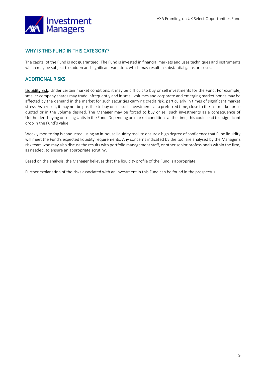

### WHY IS THIS FUND IN THIS CATEGORY?

The capital of the Fund is not guaranteed. The Fund is invested in financial markets and uses techniques and instruments which may be subject to sudden and significant variation, which may result in substantial gains or losses.

### ADDITIONAL RISKS

Liquidity risk: Under certain market conditions, it may be difficult to buy or sell investments for the Fund. For example, smaller company shares may trade infrequently and in small volumes and corporate and emerging market bonds may be affected by the demand in the market for such securities carrying credit risk, particularly in times of significant market stress. As a result, it may not be possible to buy or sell such investments at a preferred time, close to the last market price quoted or in the volume desired. The Manager may be forced to buy or sell such investments as a consequence of Unitholders buying or selling Units in the Fund. Depending on market conditions at the time, this could lead to a significant drop in the Fund's value.

Weekly monitoring is conducted, using an in-house liquidity tool, to ensure a high degree of confidence that Fund liquidity will meet the Fund's expected liquidity requirements. Any concerns indicated by the tool are analysed by the Manager's risk team who may also discuss the results with portfolio management staff, or other senior professionals within the firm, as needed, to ensure an appropriate scrutiny.

Based on the analysis, the Manager believes that the liquidity profile of the Fund is appropriate.

Further explanation of the risks associated with an investment in this Fund can be found in the prospectus.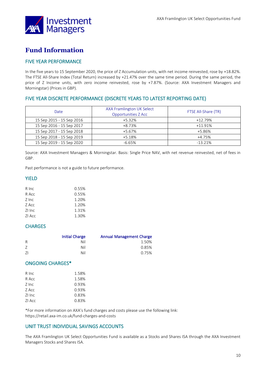

## <span id="page-9-0"></span>**Fund Information**

## FIVE YEAR PERFORMANCE

In the five years to 15 September 2020, the price of Z Accumulation units, with net income reinvested, rose by +18.82%. The FTSE All-Share Index (Total Return) increased by +21.47% over the same time period. During the same period, the price of Z Income units, with zero income reinvested, rose by +7.87%. (Source: AXA Investment Managers and Morningstar) (Prices in GBP).

### FIVE YEAR DISCRETE PERFORMANCE (DISCRETE YEARS TO LATEST REPORTING DATE)

| Date                      | AXA Framlington UK Select<br><b>Opportunities Z Acc</b> | FTSE All-Share (TR) |
|---------------------------|---------------------------------------------------------|---------------------|
| 15 Sep 2015 - 15 Sep 2016 | $+5.32%$                                                | $+12.79%$           |
| 15 Sep 2016 - 15 Sep 2017 | +8.73%                                                  | $+11.91%$           |
| 15 Sep 2017 - 15 Sep 2018 | +5.67%                                                  | +5.86%              |
| 15 Sep 2018 - 15 Sep 2019 | $+5.18%$                                                | $+4.75%$            |
| 15 Sep 2019 - 15 Sep 2020 | $-6.65%$                                                | $-13.21%$           |

Source: AXA Investment Managers & Morningstar. Basis: Single Price NAV, with net revenue reinvested, net of fees in GBP.

Past performance is not a guide to future performance.

### YIELD

| R Inc  | 0.55% |
|--------|-------|
| R Acc  | 0.55% |
| Z Inc  | 1.20% |
| Z Acc  | 1.20% |
| ZI Inc | 1.31% |
| ZI Acc | 1.30% |

#### **CHARGES**

|     | <b>Initial Charge</b> | <b>Annual Management Charge</b> |
|-----|-----------------------|---------------------------------|
| R   | Nil                   | 1.50%                           |
|     | Nil                   | 0.85%                           |
| -71 | Nil                   | 0.75%                           |

### ONGOING CHARGES\*

| R Inc  | 1.58% |
|--------|-------|
| R Acc  | 1.58% |
| Z Inc  | 0.93% |
| Z Acc  | 0.93% |
| ZI Inc | 0.83% |
| ZI Acc | 0.83% |
|        |       |

\*For more information on AXA's fund charges and costs please use the following link: https://retail.axa-im.co.uk/fund-charges-and-costs

### UNIT TRUST INDIVIDUAL SAVINGS ACCOUNTS

The AXA Framlington UK Select Opportunities Fund is available as a Stocks and Shares ISA through the AXA Investment Managers Stocks and Shares ISA.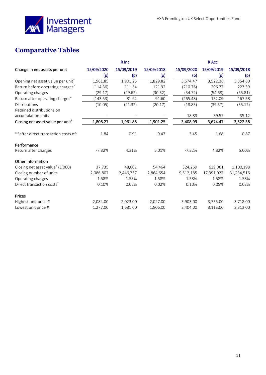

## <span id="page-10-0"></span>**Comparative Tables**

|                                               |            | R Inc      |            |            | R Acc      |            |
|-----------------------------------------------|------------|------------|------------|------------|------------|------------|
| Change in net assets per unit                 | 15/09/2020 | 15/09/2019 | 15/09/2018 | 15/09/2020 | 15/09/2019 | 15/09/2018 |
|                                               | (p)        | (p)        | (p)        | (p)        | (p)        | (p)        |
| Opening net asset value per unit <sup>+</sup> | 1,961.85   | 1,901.25   | 1,829.82   | 3,674.47   | 3,522.38   | 3,354.80   |
| Return before operating charges <sup>^</sup>  | (114.36)   | 111.54     | 121.92     | (210.76)   | 206.77     | 223.39     |
| Operating charges                             | (29.17)    | (29.62)    | (30.32)    | (54.72)    | (54.68)    | (55.81)    |
| Return after operating charges <sup>^</sup>   | (143.53)   | 81.92      | 91.60      | (265.48)   | 152.09     | 167.58     |
| Distributions                                 | (10.05)    | (21.32)    | (20.17)    | (18.83)    | (39.57)    | (35.12)    |
| Retained distributions on                     |            |            |            |            |            |            |
| accumulation units                            |            |            |            | 18.83      | 39.57      | 35.12      |
| Closing net asset value per unit <sup>†</sup> | 1,808.27   | 1,961.85   | 1,901.25   | 3,408.99   | 3,674.47   | 3,522.38   |
|                                               |            |            |            |            |            |            |
| *^after direct transaction costs of:          | 1.84       | 0.91       | 0.47       | 3.45       | 1.68       | 0.87       |
| Performance                                   |            |            |            |            |            |            |
| Return after charges                          | $-7.32%$   | 4.31%      | 5.01%      | $-7.22%$   | 4.32%      | 5.00%      |
|                                               |            |            |            |            |            |            |
| Other Information                             |            |            |            |            |            |            |
| Closing net asset value <sup>†</sup> (£'000)  | 37,735     | 48,002     | 54,464     | 324,269    | 639,061    | 1,100,198  |
| Closing number of units                       | 2,086,807  | 2,446,757  | 2,864,654  | 9,512,185  | 17,391,927 | 31,234,516 |
| Operating charges                             | 1.58%      | 1.58%      | 1.58%      | 1.58%      | 1.58%      | 1.58%      |
| Direct transaction costs <sup>*</sup>         | 0.10%      | 0.05%      | 0.02%      | 0.10%      | 0.05%      | 0.02%      |
| <b>Prices</b>                                 |            |            |            |            |            |            |
| Highest unit price #                          | 2,084.00   | 2,023.00   | 2,027.00   | 3,903.00   | 3,755.00   | 3,718.00   |
| Lowest unit price #                           | 1,277.00   | 1,681.00   | 1,806.00   | 2,404.00   | 3,113.00   | 3,313.00   |
|                                               |            |            |            |            |            |            |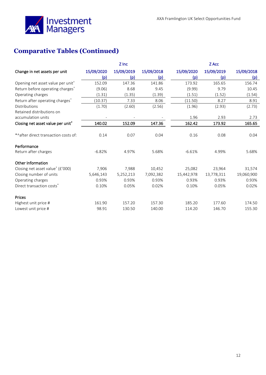

## **Comparative Tables (Continued)**

|                                               |            | Z Inc      |            |            | Z Acc      |            |
|-----------------------------------------------|------------|------------|------------|------------|------------|------------|
| Change in net assets per unit                 | 15/09/2020 | 15/09/2019 | 15/09/2018 | 15/09/2020 | 15/09/2019 | 15/09/2018 |
|                                               | (p)        | (p)        | (p)        | (p)        | (p)        | (p)        |
| Opening net asset value per unit <sup>+</sup> | 152.09     | 147.36     | 141.86     | 173.92     | 165.65     | 156.74     |
| Return before operating charges <sup>^</sup>  | (9.06)     | 8.68       | 9.45       | (9.99)     | 9.79       | 10.45      |
| Operating charges                             | (1.31)     | (1.35)     | (1.39)     | (1.51)     | (1.52)     | (1.54)     |
| Return after operating charges <sup>^</sup>   | (10.37)    | 7.33       | 8.06       | (11.50)    | 8.27       | 8.91       |
| Distributions                                 | (1.70)     | (2.60)     | (2.56)     | (1.96)     | (2.93)     | (2.73)     |
| Retained distributions on                     |            |            |            |            |            |            |
| accumulation units                            |            |            |            | 1.96       | 2.93       | 2.73       |
| Closing net asset value per unit <sup>+</sup> | 140.02     | 152.09     | 147.36     | 162.42     | 173.92     | 165.65     |
|                                               |            |            |            |            |            |            |
| *^after direct transaction costs of:          | 0.14       | 0.07       | 0.04       | 0.16       | 0.08       | 0.04       |
| Performance                                   |            |            |            |            |            |            |
| Return after charges                          | $-6.82%$   | 4.97%      | 5.68%      | $-6.61%$   | 4.99%      | 5.68%      |
| Other Information                             |            |            |            |            |            |            |
| Closing net asset value <sup>†</sup> (£'000)  | 7,906      | 7,988      | 10,452     | 25,082     | 23,964     | 31,574     |
| Closing number of units                       | 5,646,143  | 5,252,213  | 7,092,382  | 15,442,978 | 13,778,311 | 19,060,900 |
| Operating charges                             | 0.93%      | 0.93%      | 0.93%      | 0.93%      | 0.93%      | 0.93%      |
| Direct transaction costs <sup>*</sup>         | 0.10%      | 0.05%      | 0.02%      | 0.10%      | 0.05%      | 0.02%      |
| Prices                                        |            |            |            |            |            |            |
| Highest unit price #                          | 161.90     | 157.20     | 157.30     | 185.20     | 177.60     | 174.50     |
| Lowest unit price #                           | 98.91      | 130.50     | 140.00     | 114.20     | 146.70     | 155.30     |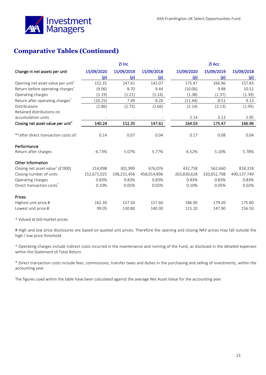

## **Comparative Tables (Continued)**

|                                               |             | ZI Inc      |             |             | ZI Acc      |             |
|-----------------------------------------------|-------------|-------------|-------------|-------------|-------------|-------------|
| Change in net assets per unit                 | 15/09/2020  | 15/09/2019  | 15/09/2018  | 15/09/2020  | 15/09/2019  | 15/09/2018  |
|                                               | (p)         | (p)         | (p)         | (p)         | (p)         | (p)         |
| Opening net asset value per unit <sup>†</sup> | 152.35      | 147.61      | 142.07      | 175.47      | 166.96      | 157.83      |
| Return before operating charges <sup>^</sup>  | (9.06)      | 8.70        | 9.44        | (10.06)     | 9.88        | 10.52       |
| Operating charges                             | (1.19)      | (1.21)      | (1.24)      | (1.38)      | (1.37)      | (1.39)      |
| Return after operating charges <sup>^</sup>   | (10.25)     | 7.49        | 8.20        | (11.44)     | 8.51        | 9.13        |
| Distributions                                 | (1.86)      | (2.75)      | (2.66)      | (2.14)      | (3.13)      | (2.95)      |
| Retained distributions on                     |             |             |             |             |             |             |
| accumulation units                            |             |             |             | 2.14        | 3.13        | 2.95        |
| Closing net asset value per unit <sup>+</sup> | 140.24      | 152.35      | 147.61      | 164.03      | 175.47      | 166.96      |
|                                               |             |             |             |             |             |             |
| *^after direct transaction costs of:          | 0.14        | 0.07        | 0.04        | 0.17        | 0.08        | 0.04        |
| Performance                                   |             |             |             |             |             |             |
| Return after charges                          | $-6.73%$    | 5.07%       | 5.77%       | $-6.52%$    | 5.10%       | 5.78%       |
| Other Information                             |             |             |             |             |             |             |
| Closing net asset value <sup>†</sup> (£'000)  | 214,098     | 301,999     | 676,076     | 432,758     | 562,660     | 818,318     |
| Closing number of units                       | 152,671,025 | 198,231,456 | 458,014,896 | 263,830,628 | 320,652,708 | 490,137,749 |
| Operating charges                             | 0.83%       | 0.83%       | 0.83%       | 0.83%       | 0.83%       | 0.83%       |
| Direct transaction costs <sup>*</sup>         | 0.10%       | 0.05%       | 0.02%       | 0.10%       | 0.05%       | 0.02%       |
| Prices                                        |             |             |             |             |             |             |
| Highest unit price #                          | 162.30      | 157.50      | 157.60      | 186.90      | 179.20      | 175.80      |
| Lowest unit price #                           | 99.05       | 130.80      | 140.30      | 115.20      | 147.90      | 156.50      |

† Valued at bid-market prices.

# High and low price disclosures are based on quoted unit prices. Therefore the opening and closing NAV prices may fall outside the high / low price threshold.

^ Operating charges include indirect costs incurred in the maintenance and running of the Fund, as disclosed in the detailed expenses within the Statement of Total Return.

\* Direct transaction costs include fees, commissions, transfer taxes and duties in the purchasing and selling of investments, within the accounting year.

The figures used within the table have been calculated against the average Net Asset Value for the accounting year.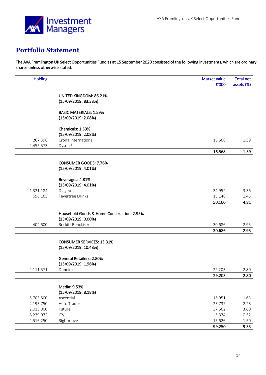

## <span id="page-13-0"></span>**Portfolio Statement**

The AXA Framlington UK Select Opportunities Fund as at 15 September 2020 consisted of the following investments, which are ordinary shares unless otherwise stated.

| <b>Holding</b> |                                            | Market value | <b>Total net</b>         |
|----------------|--------------------------------------------|--------------|--------------------------|
|                |                                            | £'000        | assets (%)               |
|                | UNITED KINGDOM: 86.21%                     |              |                          |
|                | (15/09/2019: 83.38%)                       |              |                          |
|                | <b>BASIC MATERIALS: 1.59%</b>              |              |                          |
|                | (15/09/2019: 2.08%)                        |              |                          |
|                | Chemicals: 1.59%                           |              |                          |
|                | (15/09/2019: 2.08%)                        |              |                          |
| 267,396        | Croda International                        | 16,568       | 1.59                     |
| 2,455,573      | Dyson <sup>1</sup>                         |              | $\overline{\phantom{a}}$ |
|                |                                            | 16,568       | 1.59                     |
|                | CONSUMER GOODS: 7.76%                      |              |                          |
|                | (15/09/2019: 4.01%)                        |              |                          |
|                | Beverages: 4.81%                           |              |                          |
|                | (15/09/2019: 4.01%)                        |              |                          |
| 1,321,184      | Diageo                                     | 34,952       | 3.36                     |
| 696,163        | Fevertree Drinks                           | 15,148       | 1.45                     |
|                |                                            | 50,100       | 4.81                     |
|                | Household Goods & Home Construction: 2.95% |              |                          |
|                | (15/09/2019: 0.00%)                        |              |                          |
| 402,600        | Reckitt Benckiser                          | 30,686       | 2.95                     |
|                |                                            | 30,686       | 2.95                     |
|                | <b>CONSUMER SERVICES: 13.31%</b>           |              |                          |
|                | (15/09/2019: 10.48%)                       |              |                          |
|                | General Retailers: 2.80%                   |              |                          |
|                | (15/09/2019: 1.96%)                        |              |                          |
| 2,111,571      | Dunelm                                     | 29,203       | 2.80                     |
|                |                                            | 29,203       | 2.80                     |
|                | Media: 9.53%                               |              |                          |
|                | (15/09/2019: 8.18%)                        |              |                          |
| 5,703,500      | Ascential                                  | 16,951       | 1.63                     |
| 4,193,750      | Auto Trader                                | 23,737       | 2.28                     |
| 2,013,000      | Future                                     | 37,562       | 3.60                     |
| 8,239,972      | <b>ITV</b>                                 | 5,374        | 0.52                     |
| 2,516,250      | Rightmove                                  | 15,626       | 1.50                     |
|                |                                            | 99,250       | 9.53                     |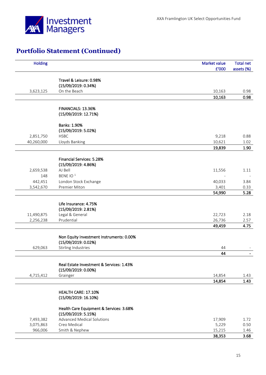

| <b>Holding</b> |                                                                 | <b>Market value</b> | <b>Total net</b> |
|----------------|-----------------------------------------------------------------|---------------------|------------------|
|                |                                                                 | £'000               | assets (%)       |
|                | Travel & Leisure: 0.98%                                         |                     |                  |
|                | (15/09/2019: 0.34%)                                             |                     |                  |
| 3,623,125      | On the Beach                                                    | 10,163              | 0.98             |
|                |                                                                 | 10,163              | 0.98             |
|                |                                                                 |                     |                  |
|                | FINANCIALS: 13.36%                                              |                     |                  |
|                | (15/09/2019: 12.71%)                                            |                     |                  |
|                | Banks: 1.90%                                                    |                     |                  |
|                | (15/09/2019: 5.02%)                                             |                     |                  |
| 2,851,750      | <b>HSBC</b>                                                     | 9,218               | 0.88             |
| 40,260,000     | Lloyds Banking                                                  | 10,621              | 1.02             |
|                |                                                                 | 19,839              | 1.90             |
|                |                                                                 |                     |                  |
|                | Financial Services: 5.28%                                       |                     |                  |
| 2,659,538      | (15/09/2019: 4.86%)<br>AJ Bell                                  | 11,556              | 1.11             |
| 148            | BENE IO <sup>1</sup>                                            |                     |                  |
| 442,451        | London Stock Exchange                                           | 40,033              | 3.84             |
| 3,542,670      | Premier Miton                                                   | 3,401               | 0.33             |
|                |                                                                 | 54,990              | 5.28             |
|                |                                                                 |                     |                  |
|                | Life Insurance: 4.75%                                           |                     |                  |
| 11,490,875     | (15/09/2019: 2.81%)<br>Legal & General                          | 22,723              | 2.18             |
| 2,256,238      | Prudential                                                      | 26,736              | 2.57             |
|                |                                                                 | 49,459              | 4.75             |
|                |                                                                 |                     |                  |
|                | Non Equity Investment Instruments: 0.00%<br>(15/09/2019: 0.02%) |                     |                  |
| 629,063        | Stirling Industries                                             | 44                  |                  |
|                |                                                                 | 44                  |                  |
|                |                                                                 |                     |                  |
|                | Real Estate Investment & Services: 1.43%                        |                     |                  |
|                | (15/09/2019: 0.00%)                                             |                     |                  |
| 4,715,412      | Grainger                                                        | 14,854              | 1.43             |
|                |                                                                 | 14,854              | 1.43             |
|                | HEALTH CARE: 17.10%                                             |                     |                  |
|                | (15/09/2019: 16.10%)                                            |                     |                  |
|                | Health Care Equipment & Services: 3.68%                         |                     |                  |
|                | (15/09/2019: 5.15%)                                             |                     |                  |
| 7,493,382      | <b>Advanced Medical Solutions</b>                               | 17,909              | 1.72             |
| 3,075,863      | Creo Medical                                                    | 5,229               | 0.50             |
| 966,006        | Smith & Nephew                                                  | 15,215              | 1.46             |
|                |                                                                 | 38,353              | 3.68             |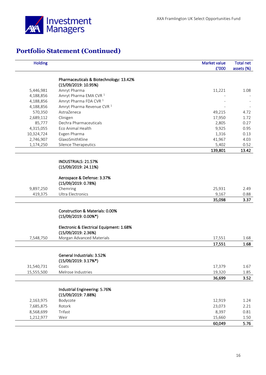

| <b>Holding</b> |                                          | Market value | <b>Total net</b> |
|----------------|------------------------------------------|--------------|------------------|
|                |                                          | £'000        | assets (%)       |
|                | Pharmaceuticals & Biotechnology: 13.42%  |              |                  |
|                | (15/09/2019: 10.95%)                     |              |                  |
| 5,446,981      | Amryt Pharma                             | 11,221       | 1.08             |
| 4,188,856      | Amryt Pharma EMA CVR <sup>1</sup>        |              |                  |
| 4,188,856      | Amryt Pharma FDA CVR <sup>1</sup>        |              |                  |
| 4,188,856      | Amryt Pharma Revenue CVR <sup>1</sup>    |              |                  |
| 570,350        | AstraZeneca                              | 49,215       | 4.72             |
| 2,689,112      | Clinigen                                 | 17,950       | 1.72             |
| 85,777         | Dechra Pharmaceuticals                   | 2,805        | 0.27             |
| 4,315,055      | Eco Animal Health                        | 9,925        | 0.95             |
| 10,324,724     | Evgen Pharma                             | 1,316        | 0.13             |
| 2,746,907      | GlaxoSmithKline                          | 41,967       | 4.03             |
| 1,174,250      | Silence Therapeutics                     | 5,402        | 0.52             |
|                |                                          | 139,801      | 13.42            |
|                |                                          |              |                  |
|                | INDUSTRIALS: 21.57%                      |              |                  |
|                | (15/09/2019: 24.11%)                     |              |                  |
|                | Aerospace & Defense: 3.37%               |              |                  |
|                | (15/09/2019: 0.78%)                      |              |                  |
| 9,897,250      | Chemring                                 | 25,931       | 2.49             |
| 419,375        | <b>Ultra Electronics</b>                 | 9,167        | 0.88             |
|                |                                          | 35,098       | 3.37             |
|                |                                          |              |                  |
|                | Construction & Materials: 0.00%          |              |                  |
|                | $(15/09/2019:0.00\%*)$                   |              |                  |
|                | Electronic & Electrical Equipment: 1.68% |              |                  |
|                | (15/09/2019: 2.36%)                      |              |                  |
| 7,548,750      | Morgan Advanced Materials                | 17,551       | 1.68             |
|                |                                          | 17,551       | 1.68             |
|                |                                          |              |                  |
|                | General Industrials: 3.52%               |              |                  |
|                | $(15/09/2019:3.17\%)$                    |              |                  |
| 31,540,731     | Coats                                    | 17,379       | 1.67             |
| 15,555,500     | Melrose Industries                       | 19,320       | 1.85             |
|                |                                          | 36,699       | 3.52             |
|                |                                          |              |                  |
|                | Industrial Engineering: 5.76%            |              |                  |
|                | (15/09/2019: 7.88%)                      |              |                  |
| 2,163,975      | Bodycote                                 | 12,919       | 1.24             |
| 7,685,875      | Rotork                                   | 23,073       | 2.21             |
| 8,568,699      | Trifast                                  | 8,397        | 0.81             |
| 1,212,977      | Weir                                     | 15,660       | 1.50             |
|                |                                          | 60,049       | 5.76             |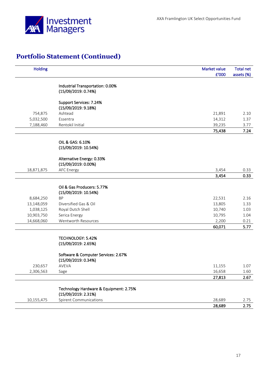

| <b>Holding</b> |                                                               | Market value<br>£'000 | <b>Total net</b><br>assets (%) |
|----------------|---------------------------------------------------------------|-----------------------|--------------------------------|
|                |                                                               |                       |                                |
|                | Industrial Transportation: 0.00%<br>(15/09/2019: 0.74%)       |                       |                                |
|                |                                                               |                       |                                |
|                | Support Services: 7.24%                                       |                       |                                |
|                | (15/09/2019:9.18%)                                            |                       |                                |
| 754,875        | Ashtead                                                       | 21,891                | 2.10                           |
| 5,032,500      | Essentra                                                      | 14,312                | 1.37                           |
| 7,188,460      | Rentokil Initial                                              | 39,235                | 3.77                           |
|                |                                                               | 75,438                | 7.24                           |
|                | OIL & GAS: 6.10%                                              |                       |                                |
|                | (15/09/2019: 10.54%)                                          |                       |                                |
|                |                                                               |                       |                                |
|                | Alternative Energy: 0.33%                                     |                       |                                |
|                | (15/09/2019: 0.00%)                                           |                       |                                |
| 18,871,875     | <b>AFC Energy</b>                                             | 3,454                 | 0.33                           |
|                |                                                               | 3,454                 | 0.33                           |
|                | Oil & Gas Producers: 5.77%                                    |                       |                                |
|                | (15/09/2019: 10.54%)                                          |                       |                                |
| 8,684,250      | <b>BP</b>                                                     | 22,531                | 2.16                           |
| 13,148,059     | Diversified Gas & Oil                                         | 13,805                | 1.33                           |
| 1,038,125      | Royal Dutch Shell                                             | 10,740                | 1.03                           |
| 10,903,750     | Serica Energy                                                 | 10,795                | 1.04                           |
| 14,668,060     | Wentworth Resources                                           | 2,200                 | 0.21                           |
|                |                                                               | 60,071                | 5.77                           |
|                |                                                               |                       |                                |
|                | TECHNOLOGY: 5.42%                                             |                       |                                |
|                | (15/09/2019: 2.65%)                                           |                       |                                |
|                | Software & Computer Services: 2.67%                           |                       |                                |
|                | (15/09/2019: 0.34%)                                           |                       |                                |
| 230,657        | AVEVA                                                         | 11,155                | 1.07                           |
| 2,306,563      | Sage                                                          | 16,658                | 1.60                           |
|                |                                                               | 27,813                | 2.67                           |
|                |                                                               |                       |                                |
|                | Technology Hardware & Equipment: 2.75%<br>(15/09/2019: 2.31%) |                       |                                |
| 10,155,475     | <b>Spirent Communications</b>                                 | 28,689                | 2.75                           |
|                |                                                               | 28,689                | 2.75                           |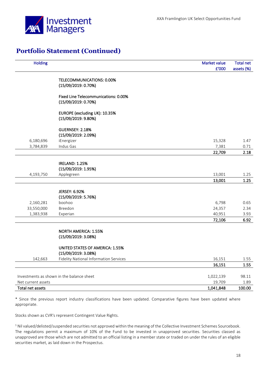

| <b>Holding</b>     |                                                         | Market value     | <b>Total net</b> |
|--------------------|---------------------------------------------------------|------------------|------------------|
|                    |                                                         | £'000            | assets (%)       |
|                    |                                                         |                  |                  |
|                    | <b>TELECOMMUNICATIONS: 0.00%</b><br>(15/09/2019: 0.70%) |                  |                  |
|                    |                                                         |                  |                  |
|                    | <b>Fixed Line Telecommunications: 0.00%</b>             |                  |                  |
|                    | (15/09/2019: 0.70%)                                     |                  |                  |
|                    | EUROPE (excluding UK): 10.35%                           |                  |                  |
|                    | (15/09/2019: 9.80%)                                     |                  |                  |
|                    | <b>GUERNSEY: 2.18%</b>                                  |                  |                  |
|                    | (15/09/2019: 2.09%)                                     |                  |                  |
| 6,180,696          | iEnergizer                                              | 15,328           | 1.47             |
| 3,784,839          | Indus Gas                                               | 7,381            | 0.71             |
|                    |                                                         | 22,709           | 2.18             |
|                    |                                                         |                  |                  |
|                    | <b>IRELAND: 1.25%</b>                                   |                  |                  |
|                    | (15/09/2019: 1.95%)                                     |                  |                  |
| 4,193,750          | Applegreen                                              | 13,001<br>13,001 | 1.25<br>1.25     |
|                    |                                                         |                  |                  |
|                    | <b>JERSEY: 6.92%</b>                                    |                  |                  |
|                    | (15/09/2019: 5.76%)                                     |                  |                  |
| 2,160,281          | boohoo                                                  | 6,798            | 0.65             |
| 33,550,000         | Breedon                                                 | 24,357           | 2.34             |
| 1,383,938          | Experian                                                | 40,951           | 3.93             |
|                    |                                                         | 72,106           | 6.92             |
|                    |                                                         |                  |                  |
|                    | NORTH AMERICA: 1.55%                                    |                  |                  |
|                    | (15/09/2019: 3.08%)                                     |                  |                  |
|                    | UNITED STATES OF AMERICA: 1.55%                         |                  |                  |
|                    | (15/09/2019: 3.08%)                                     |                  |                  |
| 142,663            | <b>Fidelity National Information Services</b>           | 16,151           | 1.55             |
|                    |                                                         | 16,151           | 1.55             |
|                    |                                                         |                  |                  |
|                    | Investments as shown in the balance sheet               | 1,022,139        | 98.11            |
| Net current assets |                                                         | 19,709           | 1.89             |
| Total net assets   |                                                         | 1,041,848        | 100.00           |

\* Since the previous report industry classifications have been updated. Comparative figures have been updated where appropriate.

Stocks shown as CVR's represent Contingent Value Rights.

 $1$  Nil valued/delisted/suspended securities not approved within the meaning of the Collective Investment Schemes Sourcebook. The regulations permit a maximum of 10% of the Fund to be invested in unapproved securities. Securities classed as unapproved are those which are not admitted to an official listing in a member state or traded on under the rules of an eligible securities market, as laid down in the Prospectus.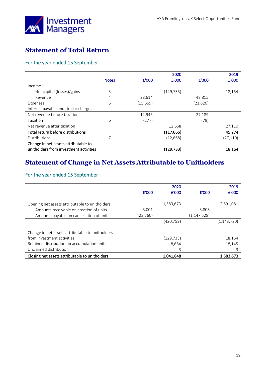

## <span id="page-18-0"></span>**Statement of Total Return**

## For the year ended 15 September

|                                        |              |           | 2020       |           | 2019     |
|----------------------------------------|--------------|-----------|------------|-----------|----------|
|                                        | <b>Notes</b> | £'000     | £'000      | f'000     | £'000    |
| Income                                 |              |           |            |           |          |
| Net capital (losses)/gains             | 3            |           | (129, 733) |           | 18,164   |
| Revenue                                | 4            | 28,614    |            | 48,815    |          |
| Expenses                               | 5            | (15, 669) |            | (21, 626) |          |
| Interest payable and similar charges   |              |           |            |           |          |
| Net revenue before taxation            |              | 12,945    |            | 27,189    |          |
| Taxation                               | 6            | (277)     |            | (79)      |          |
| Net revenue after taxation             |              |           | 12,668     |           | 27,110   |
| Total return before distributions      |              |           | (117,065)  |           | 45,274   |
| Distributions                          |              |           | (12, 668)  |           | (27,110) |
| Change in net assets attributable to   |              |           |            |           |          |
| unitholders from investment activities |              |           | (129,733)  |           | 18,164   |

## <span id="page-18-1"></span>**Statement of Change in Net Assets Attributable to Unitholders**

## For the year ended 15 September

|                                                  |           | 2020       |               | 2019          |
|--------------------------------------------------|-----------|------------|---------------|---------------|
|                                                  | £'000     | £'000      | £'000         | £'000         |
|                                                  |           |            |               |               |
| Opening net assets attributable to unitholders   |           | 1,583,673  |               | 2,691,081     |
| Amounts receivable on creation of units          | 3,001     |            | 3,808         |               |
| Amounts payable on cancellation of units         | (423,760) |            | (1, 147, 528) |               |
|                                                  |           | (420,759)  |               | (1, 143, 720) |
|                                                  |           |            |               |               |
| Change in net assets attributable to unitholders |           |            |               |               |
| from investment activities                       |           | (129, 733) |               | 18,164        |
| Retained distribution on accumulation units      |           | 8,664      |               | 18,145        |
| Unclaimed distribution                           |           | 3          |               | 3             |
| Closing net assets attributable to unitholders   |           | 1,041,848  |               | 1,583,673     |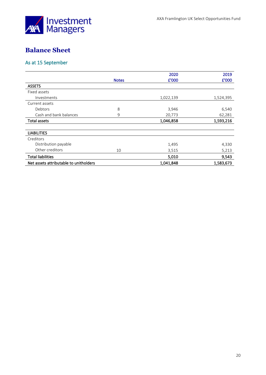

## <span id="page-19-0"></span>**Balance Sheet**

## As at 15 September

|                                        |              | 2020      | 2019      |
|----------------------------------------|--------------|-----------|-----------|
|                                        | <b>Notes</b> | £'000     | £'000     |
| <b>ASSETS</b>                          |              |           |           |
| Fixed assets                           |              |           |           |
| Investments                            |              | 1,022,139 | 1,524,395 |
| Current assets                         |              |           |           |
| Debtors                                | 8            | 3,946     | 6,540     |
| Cash and bank balances                 | 9            | 20,773    | 62,281    |
| <b>Total assets</b>                    |              | 1,046,858 | 1,593,216 |
|                                        |              |           |           |
| <b>LIABILITIES</b>                     |              |           |           |
| Creditors                              |              |           |           |
| Distribution payable                   |              | 1,495     | 4,330     |
| Other creditors                        | 10           | 3,515     | 5,213     |
| <b>Total liabilities</b>               |              | 5,010     | 9,543     |
| Net assets attributable to unitholders |              | 1,041,848 | 1,583,673 |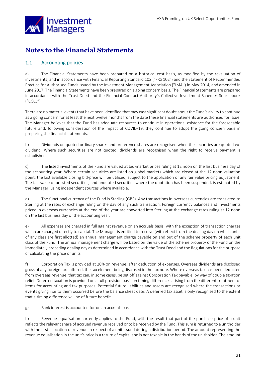

## <span id="page-20-0"></span>**Notes to the Financial Statements**

## 1.1 Accounting policies

a) The Financial Statements have been prepared on a historical cost basis, as modified by the revaluation of investments, and in accordance with Financial Reporting Standard 102 ("FRS 102") and the Statement of Recommended Practice for Authorised Funds issued by the Investment Management Association (''IMA'') in May 2014, and amended in June 2017. The Financial Statements have been prepared on a going concern basis. The Financial Statements are prepared in accordance with the Trust Deed and the Financial Conduct Authority's Collective Investment Schemes Sourcebook ("COLL").

There are no material events that have been identified that may cast significant doubt about the Fund's ability to continue as a going concern for at least the next twelve months from the date these financial statements are authorised for issue. The Manager believes that the Fund has adequate resources to continue in operational existence for the foreseeable future and, following consideration of the impact of COVID-19, they continue to adopt the going concern basis in preparing the financial statements.

b) Dividends on quoted ordinary shares and preference shares are recognised when the securities are quoted exdividend. Where such securities are not quoted, dividends are recognised when the right to receive payment is established.

c) The listed investments of the Fund are valued at bid-market prices ruling at 12 noon on the last business day of the accounting year. Where certain securities are listed on global markets which are closed at the 12 noon valuation point, the last available closing bid-price will be utilised, subject to the application of any fair value pricing adjustment. The fair value of unlisted securities, and unquoted securities where the quotation has been suspended, is estimated by the Manager, using independent sources where available.

d) The functional currency of the Fund is Sterling (GBP). Any transactions in overseas currencies are translated to Sterling at the rates of exchange ruling on the day of any such transaction. Foreign currency balances and investments priced in overseas currencies at the end of the year are converted into Sterling at the exchange rates ruling at 12 noon on the last business day of the accounting year.

e) All expenses are charged in full against revenue on an accruals basis, with the exception of transaction charges which are charged directly to capital. The Manager is entitled to receive (with effect from the dealing day on which units of any class are first allotted) an annual management charge payable on and out of the scheme property of each unit class of the Fund. The annual management charge will be based on the value of the scheme property of the Fund on the immediately preceding dealing day as determined in accordance with the Trust Deed and the Regulations for the purpose of calculating the price of units.

f) Corporation Tax is provided at 20% on revenue, after deduction of expenses. Overseas dividends are disclosed gross of any foreign tax suffered, the tax element being disclosed in the tax note. Where overseas tax has been deducted from overseas revenue, that tax can, in some cases, be set off against Corporation Tax payable, by way of double taxation relief. Deferred taxation is provided on a full provision basis on timing differences arising from the different treatment of items for accounting and tax purposes. Potential future liabilities and assets are recognised where the transactions or events giving rise to them occurred before the balance sheet date. A deferred tax asset is only recognised to the extent that a timing difference will be of future benefit.

g) Bank interest is accounted for on an accruals basis.

h) Revenue equalisation currently applies to the Fund, with the result that part of the purchase price of a unit reflects the relevant share of accrued revenue received or to be received by the Fund. This sum is returned to a unitholder with the first allocation of revenue in respect of a unit issued during a distribution period. The amount representing the revenue equalisation in the unit's price is a return of capital and is not taxable in the hands of the unitholder. The amount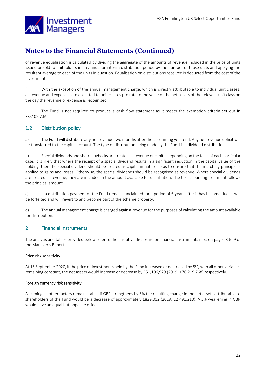

of revenue equalisation is calculated by dividing the aggregate of the amounts of revenue included in the price of units issued or sold to unitholders in an annual or interim distribution period by the number of those units and applying the resultant average to each of the units in question. Equalisation on distributions received is deducted from the cost of the investment.

i) With the exception of the annual management charge, which is directly attributable to individual unit classes, all revenue and expenses are allocated to unit classes pro rata to the value of the net assets of the relevant unit class on the day the revenue or expense is recognised.

j) The Fund is not required to produce a cash flow statement as it meets the exemption criteria set out in FRS102.7.IA.

### 1.2 Distribution policy

a) The Fund will distribute any net revenue two months after the accounting year end. Any net revenue deficit will be transferred to the capital account. The type of distribution being made by the Fund is a dividend distribution.

b) Special dividends and share buybacks are treated as revenue or capital depending on the facts of each particular case. It is likely that where the receipt of a special dividend results in a significant reduction in the capital value of the holding, then the special dividend should be treated as capital in nature so as to ensure that the matching principle is applied to gains and losses. Otherwise, the special dividends should be recognised as revenue. Where special dividends are treated as revenue, they are included in the amount available for distribution. The tax accounting treatment follows the principal amount.

c) If a distribution payment of the Fund remains unclaimed for a period of 6 years after it has become due, it will be forfeited and will revert to and become part of the scheme property.

d) The annual management charge is charged against revenue for the purposes of calculating the amount available for distribution.

### 2 Financial instruments

The analysis and tables provided below refer to the narrative disclosure on financial instruments risks on pages 8 to 9 of the Manager's Report.

#### Price risk sensitivity

At 15 September 2020, if the price of investments held by the Fund increased or decreased by 5%, with all other variables remaining constant, the net assets would increase or decrease by £51,106,929 (2019: £76,219,768) respectively.

#### Foreign currency risk sensitivity

Assuming all other factors remain stable, if GBP strengthens by 5% the resulting change in the net assets attributable to shareholders of the Fund would be a decrease of approximately £829,012 (2019: £2,491,210). A 5% weakening in GBP would have an equal but opposite effect.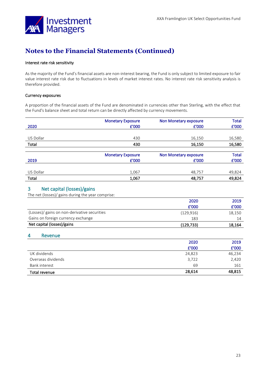

#### Interest rate risk sensitivity

As the majority of the Fund's financial assets are non-interest bearing, the Fund is only subject to limited exposure to fair value interest rate risk due to fluctuations in levels of market interest rates. No interest rate risk sensitivity analysis is therefore provided.

#### Currency exposures

A proportion of the financial assets of the Fund are denominated in currencies other than Sterling, with the effect that the Fund's balance sheet and total return can be directly affected by currency movements.

| <b>Monetary Exposure</b> | Non Monetary exposure | <b>Total</b> |
|--------------------------|-----------------------|--------------|
| £'000                    | £'000                 | £'000        |
|                          |                       |              |
| 430                      | 16,150                | 16,580       |
| 430                      | 16,150                | 16,580       |
|                          |                       |              |
| <b>Monetary Exposure</b> | Non Monetary exposure | <b>Total</b> |
| £'000                    | £'000                 | £'000        |
|                          |                       |              |
| 1,067                    | 48,757                | 49,824       |
| 1,067                    | 48,757                | 49,824       |
|                          |                       |              |

### 3 Net capital (losses)/gains

| The net (losses)/ gains during the year comprise: |
|---------------------------------------------------|
|                                                   |

|                                              | 2020       | 2019   |
|----------------------------------------------|------------|--------|
|                                              | £'000      | £'000  |
| (Losses)/ gains on non-derivative securities | (129, 916) | 18,150 |
| Gains on foreign currency exchange           | 183        | 14     |
| Net capital (losses)/gains                   | (129, 733) | 18,164 |

#### 4 Revenue

|                    | 2020   | 2019   |
|--------------------|--------|--------|
|                    | £'000  | £'000  |
| UK dividends       | 24,823 | 46,234 |
| Overseas dividends | 3,722  | 2,420  |
| Bank interest      | 69     | 161    |
| Total revenue      | 28,614 | 48,815 |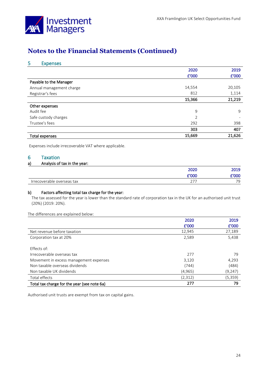

### 5 Expenses

|                          | 2020           | 2019   |
|--------------------------|----------------|--------|
|                          | £'000          | £'000  |
| Payable to the Manager   |                |        |
| Annual management charge | 14,554         | 20,105 |
| Registrar's fees         | 812            | 1,114  |
|                          | 15,366         | 21,219 |
| Other expenses           |                |        |
| Audit fee                | 9              | 9      |
| Safe custody charges     | $\overline{2}$ |        |
| Trustee's fees           | 292            | 398    |
|                          | 303            | 407    |
| Total expenses           | 15,669         | 21,626 |

Expenses include irrecoverable VAT where applicable.

#### 6 Taxation

### a) Analysis of tax in the year:

|                            | 2020       | 2019               |
|----------------------------|------------|--------------------|
|                            | £'000      | 000 :              |
| Irrecoverable overseas tax | ヘラコ<br>، ے | $\neg \wedge$<br>◡ |

#### b) Factors affecting total tax charge for the year:

The tax assessed for the year is lower than the standard rate of corporation tax in the UK for an authorised unit trust (20%) (2019: 20%).

#### The differences are explained below:

|                                             | 2020     | 2019    |
|---------------------------------------------|----------|---------|
|                                             | £'000    | £'000   |
| Net revenue before taxation                 | 12,945   | 27,189  |
| Corporation tax at 20%                      | 2,589    | 5,438   |
|                                             |          |         |
| <b>Effects of:</b>                          |          |         |
| Irrecoverable overseas tax                  | 277      | 79      |
| Movement in excess management expenses      | 3,120    | 4,293   |
| Non taxable overseas dividends              | (744)    | (484)   |
| Non taxable UK dividends                    | (4, 965) | (9,247) |
| Total effects                               | (2,312)  | (5,359) |
| Total tax charge for the year (see note 6a) | 277      | 79      |

Authorised unit trusts are exempt from tax on capital gains.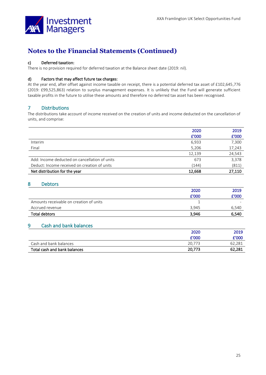

#### c) Deferred taxation:

There is no provision required for deferred taxation at the Balance sheet date (2019: nil).

#### d) Factors that may affect future tax charges:

At the year end, after offset against income taxable on receipt, there is a potential deferred tax asset of £102,645,776 (2019: £99,525,863) relation to surplus management expenses. It is unlikely that the Fund will generate sufficient taxable profits in the future to utilise these amounts and therefore no deferred tax asset has been recognised.

### 7 Distributions

The distributions take account of income received on the creation of units and income deducted on the cancellation of units, and comprise:

|                                               | 2020   | 2019   |
|-----------------------------------------------|--------|--------|
|                                               | £'000  | £'000  |
| Interim                                       | 6,933  | 7,300  |
| Final                                         | 5,206  | 17,243 |
|                                               | 12,139 | 24,543 |
| Add: Income deducted on cancellation of units | 673    | 3,378  |
| Deduct: Income received on creation of units  | (144)  | (811)  |
| Net distribution for the year                 | 12,668 | 27.110 |

### 8 Debtors

|                                         | 2020  | 2019                     |
|-----------------------------------------|-------|--------------------------|
|                                         | £'000 | £'000                    |
| Amounts receivable on creation of units |       | $\overline{\phantom{0}}$ |
| Accrued revenue                         | 3.945 | 6.540                    |
| Total debtors                           | 3,946 | 6,540                    |

### 9 Cash and bank balances

|                              | 2020   | 2019   |
|------------------------------|--------|--------|
|                              | E'000  | £'000  |
| Cash and bank balances       | 20.773 | 62,281 |
| Total cash and bank balances | 20,773 | 62,281 |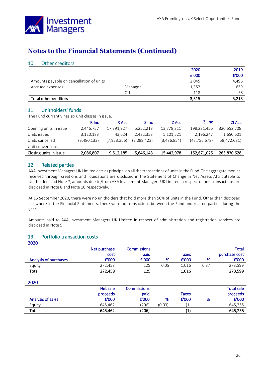

### 10 Other creditors

|                                          |           | 2020  | 2019  |
|------------------------------------------|-----------|-------|-------|
|                                          |           | £'000 | £'000 |
| Amounts payable on cancellation of units |           | 2,045 | 4.496 |
| Accrued expenses                         | - Manager | 1,352 | 659   |
|                                          | - Other   | 118   | 58    |
| Total other creditors                    |           | 3,515 | 5,213 |

## 11 Unitholders' funds

The Fund currently has six unit classes in issue.

|                        | R Inc.      | R Acc                    | Z Inc                    | Z Acc       | ZI Inc         | <b>ZI Acc</b> |
|------------------------|-------------|--------------------------|--------------------------|-------------|----------------|---------------|
| Opening units in issue | 2,446,757   | 17,391,927               | 5,252,213                | 13,778,311  | 198,231,456    | 320,652,708   |
| Units issued           | 3,120,183   | 43.624                   | 2,482,353                | 5,101,521   | 2,196,247      | 1,650,601     |
| Units cancelled        | (3,480,133) | (7,923,366)              | (2,088,423)              | (3,436,854) | (47, 756, 678) | (58,472,681)  |
| Unit conversions       | -           | $\overline{\phantom{a}}$ | $\overline{\phantom{0}}$ | -           |                |               |
| Closing units in issue | 2,086,807   | 9,512,185                | 5,646,143                | 15,442,978  | 152,671,025    | 263,830,628   |

### 12 Related parties

AXA Investment Managers UK Limited acts as principal on all the transactions of units in the Fund. The aggregate monies received through creations and liquidations are disclosed in the Statement of Change in Net Assets Attributable to Unitholders and Note 7, amounts due to/from AXA Investment Managers UK Limited in respect of unit transactions are disclosed in Note 8 and Note 10 respectively.

At 15 September 2020, there were no unitholders that hold more than 50% of units in the Fund. Other than disclosed elsewhere in the Financial Statements, there were no transactions between the Fund and related parties during the year.

Amounts paid to AXA Investment Managers UK Limited in respect of administration and registration services are disclosed in Note 5.

### 13 Portfolio transaction costs

| 2020                  |              |                    |      |       |      |               |
|-----------------------|--------------|--------------------|------|-------|------|---------------|
|                       | Net purchase | <b>Commissions</b> |      |       |      | Total         |
|                       | cost         | paid               |      | Taxes |      | purchase cost |
| Analysis of purchases | £'000        | £'000              | %    | £'000 | %    | £'000         |
| Equity                | 272.458      | 125                | 0.05 | 1.016 | 0.37 | 273,599       |
| Total                 | 272,458      | 125                |      | 1,016 |      | 273,599       |
|                       |              |                    |      |       |      |               |
| 2020                  |              |                    |      |       |      |               |

| Analysis of sales | Net sale<br>proceeds<br>£'000 | <b>Commissions</b><br>paid<br>£'000 | %      | Taxes<br>£'000 | %                        | <b>Total sale</b><br>proceeds<br>£'000 |
|-------------------|-------------------------------|-------------------------------------|--------|----------------|--------------------------|----------------------------------------|
| Equity            | 645.462                       | (206)                               | (0.03) |                | $\overline{\phantom{0}}$ | 645.255                                |
| Total             | 645.462                       | (206)                               |        |                |                          | 645,255                                |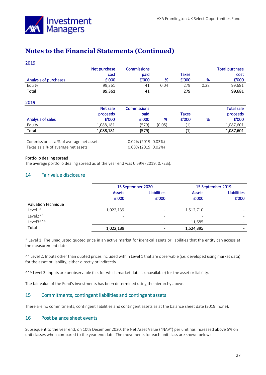

#### 2019

|                       | Net purchase | <b>Commissions</b> |      |       |      | <b>Total purchase</b> |
|-----------------------|--------------|--------------------|------|-------|------|-----------------------|
|                       | cost         | paid               |      | Taxes |      | cost                  |
| Analysis of purchases | £'000        | £'000              | %    | £'000 | %    | £'000                 |
| Equity                | 99.361       | 41                 | 0.04 | 279   | 0.28 | 99,681                |
| Total                 | 99,361       | 41                 |      | 279   |      | 99,681                |

#### 2019

|                   | Net sale  | Commissions |        |       |                          | <b>Total sale</b> |
|-------------------|-----------|-------------|--------|-------|--------------------------|-------------------|
|                   | proceeds  | paid        |        | Taxes |                          | proceeds          |
| Analysis of sales | £'000     | £'000       | %      | £'000 | %                        | £'000             |
| Equity            | 1,088,181 | (579)       | (0.05) |       | $\overline{\phantom{0}}$ | 1,087,601         |
| Total             | 1,088,181 | (579)       |        |       |                          | 1,087,601         |

Commission as a % of average net assets 0.02% (2019: 0.03%) Taxes as a % of average net assets 0.08% (2019: 0.02%)

#### Portfolio dealing spread

The average portfolio dealing spread as at the year end was 0.59% (2019: 0.72%).

## 14 Fair value disclosure

|                                  | 15 September 2020                   |                          | 15 September 2019        |                          |  |
|----------------------------------|-------------------------------------|--------------------------|--------------------------|--------------------------|--|
|                                  | <b>Liabilities</b><br><b>Assets</b> |                          | <b>Assets</b>            | <b>Liabilities</b>       |  |
|                                  | £'000                               | £'000                    | £'000                    | £'000                    |  |
| Valuation technique              |                                     |                          |                          |                          |  |
| Level1^                          | 1,022,139                           | $\overline{\phantom{0}}$ | 1,512,710                |                          |  |
| Level <sub>2</sub> <sup>^^</sup> | $\overline{\phantom{a}}$            | $\overline{\phantom{a}}$ | $\overline{\phantom{0}}$ | $\overline{\phantom{m}}$ |  |
| Level3^^^                        | $\overline{\phantom{m}}$            |                          | 11,685                   |                          |  |
| Total                            | 1,022,139                           |                          | 1,524,395                |                          |  |

^ Level 1: The unadjusted quoted price in an active market for identical assets or liabilities that the entity can access at the measurement date.

^^ Level 2: Inputs other than quoted prices included within Level 1 that are observable (i.e. developed using market data) for the asset or liability, either directly or indirectly.

^^^ Level 3: Inputs are unobservable (i.e. for which market data is unavailable) for the asset or liability.

The fair value of the Fund's investments has been determined using the hierarchy above.

### 15 Commitments, contingent liabilities and contingent assets

There are no commitments, contingent liabilities and contingent assets as at the balance sheet date (2019: none).

#### 16 Post balance sheet events

Subsequent to the year end, on 10th December 2020, the Net Asset Value ("NAV") per unit has increased above 5% on unit classes when compared to the year end date. The movements for each unit class are shown below: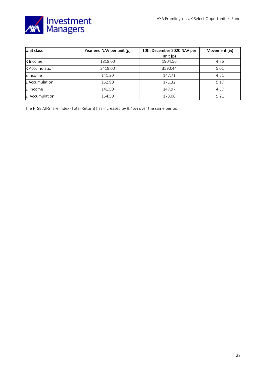

| Unit class            | Year end NAV per unit (p) | 10th December 2020 NAV per | Movement (%) |
|-----------------------|---------------------------|----------------------------|--------------|
|                       |                           | unit $(p)$                 |              |
| R Income              | 1818.00                   | 1904.56                    | 4.76         |
| <b>R</b> Accumulation | 3419.00                   | 3590.44                    | 5.01         |
| Z Income              | 141.20                    | 147.71                     | 4.61         |
| Z Accumulation        | 162.90                    | 171.32                     | 5.17         |
| ZI Income             | 141.50                    | 147.97                     | 4.57         |
| ZI Accumulation       | 164.50                    | 173.06                     | 5.21         |

The FTSE All-Share Index (Total Return) has increased by 9.46% over the same period.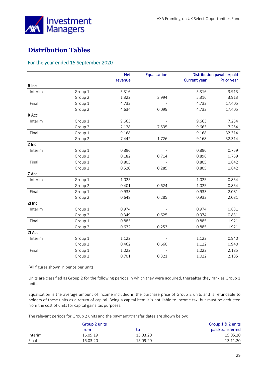

## <span id="page-28-0"></span>**Distribution Tables**

### For the year ended 15 September 2020

|         |         | <b>Net</b> | Equalisation   | Distribution payable/paid |            |
|---------|---------|------------|----------------|---------------------------|------------|
|         |         | revenue    |                | <b>Current year</b>       | Prior year |
| R Inc   |         |            |                |                           |            |
| Interim | Group 1 | 5.316      |                | 5.316                     | 3.913      |
|         | Group 2 | 1.322      | 3.994          | 5.316                     | 3.913      |
| Final   | Group 1 | 4.733      |                | 4.733                     | 17.405     |
|         | Group 2 | 4.634      | 0.099          | 4.733                     | 17.405     |
| R Acc   |         |            |                |                           |            |
| Interim | Group 1 | 9.663      |                | 9.663                     | 7.254      |
|         | Group 2 | 2.128      | 7.535          | 9.663                     | 7.254      |
| Final   | Group 1 | 9.168      |                | 9.168                     | 32.314     |
|         | Group 2 | 7.442      | 1.726          | 9.168                     | 32.314     |
| Z Inc   |         |            |                |                           |            |
| Interim | Group 1 | 0.896      | $\overline{a}$ | 0.896                     | 0.759      |
|         | Group 2 | 0.182      | 0.714          | 0.896                     | 0.759      |
| Final   | Group 1 | 0.805      |                | 0.805                     | 1.842      |
|         | Group 2 | 0.520      | 0.285          | 0.805                     | 1.842      |
| Z Acc   |         |            |                |                           |            |
| Interim | Group 1 | 1.025      |                | 1.025                     | 0.854      |
|         | Group 2 | 0.401      | 0.624          | 1.025                     | 0.854      |
| Final   | Group 1 | 0.933      |                | 0.933                     | 2.081      |
|         | Group 2 | 0.648      | 0.285          | 0.933                     | 2.081      |
| ZI Inc  |         |            |                |                           |            |
| Interim | Group 1 | 0.974      |                | 0.974                     | 0.831      |
|         | Group 2 | 0.349      | 0.625          | 0.974                     | 0.831      |
| Final   | Group 1 | 0.885      | $\overline{a}$ | 0.885                     | 1.921      |
|         | Group 2 | 0.632      | 0.253          | 0.885                     | 1.921      |
| ZI Acc  |         |            |                |                           |            |
| Interim | Group 1 | 1.122      |                | 1.122                     | 0.940      |
|         | Group 2 | 0.462      | 0.660          | 1.122                     | 0.940      |
| Final   | Group 1 | 1.022      |                | 1.022                     | 2.185      |
|         | Group 2 | 0.701      | 0.321          | 1.022                     | 2.185      |

(All figures shown in pence per unit)

Units are classified as Group 2 for the following periods in which they were acquired, thereafter they rank as Group 1 units.

Equalisation is the average amount of income included in the purchase price of Group 2 units and is refundable to holders of these units as a return of capital. Being a capital item it is not liable to income tax, but must be deducted from the cost of units for capital gains tax purposes.

The relevant periods for Group 2 units and the payment/transfer dates are shown below:

|         | Group 2 units |          | Group 1 & 2 units |
|---------|---------------|----------|-------------------|
|         | from          | tο       | paid/transferred  |
| Interim | 16.09.19      | 15.03.20 | 15.05.20          |
| Final   | 16.03.20      | 15.09.20 | 13.11.20          |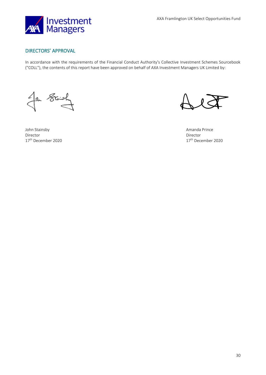

### DIRECTORS' APPROVAL

In accordance with the requirements of the Financial Conduct Authority's Collective Investment Schemes Sourcebook ("COLL"), the contents of this report have been approved on behalf of AXA Investment Managers UK Limited by:

In Stair

John Stainsby Amanda Prince Director Director

17<sup>th</sup> December 2020 17<sup>th</sup> December 2020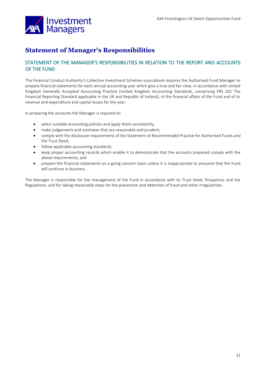

## <span id="page-30-0"></span>**Statement of Manager's Responsibilities**

### STATEMENT OF THE MANAGER'S RESPONSIBILITIES IN RELATION TO THE REPORT AND ACCOUNTS OF THE FUND

The Financial Conduct Authority's Collective Investment Schemes sourcebook requires the Authorised Fund Manager to prepare financial statements for each annual accounting year which give a true and fair view, in accordance with United Kingdom Generally Accepted Accounting Practice (United Kingdom Accounting Standards, comprising FRS 102 The Financial Reporting Standard applicable in the UK and Republic of Ireland), of the financial affairs of the Fund and of its revenue and expenditure and capital losses for the year.

In preparing the accounts the Manager is required to:

- select suitable accounting policies and apply them consistently;
- make judgements and estimates that are reasonable and prudent;
- comply with the disclosure requirements of the Statement of Recommended Practice for Authorised Funds and the Trust Deed;
- follow applicable accounting standards;
- keep proper accounting records which enable it to demonstrate that the accounts prepared comply with the above requirements; and
- prepare the financial statements on a going concern basis unless it is inappropriate to presume that the Fund will continue in business.

The Manager is responsible for the management of the Fund in accordance with its Trust Deed, Prospectus and the Regulations, and for taking reasonable steps for the prevention and detection of fraud and other irregularities.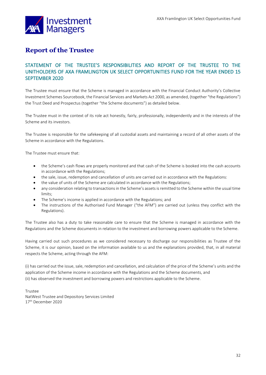

## <span id="page-31-0"></span>**Report of the Trustee**

## STATEMENT OF THE TRUSTEE'S RESPONSIBILITIES AND REPORT OF THE TRUSTEE TO THE UNITHOLDERS OF AXA FRAMLINGTON UK SELECT OPPORTUNITIES FUND FOR THE YEAR ENDED 15 SEPTEMBER 2020

The Trustee must ensure that the Scheme is managed in accordance with the Financial Conduct Authority's Collective Investment Schemes Sourcebook, the Financial Services and Markets Act 2000, as amended, (together "the Regulations") the Trust Deed and Prospectus (together "the Scheme documents") as detailed below.

The Trustee must in the context of its role act honestly, fairly, professionally, independently and in the interests of the Scheme and its investors.

The Trustee is responsible for the safekeeping of all custodial assets and maintaining a record of all other assets of the Scheme in accordance with the Regulations.

The Trustee must ensure that:

- the Scheme's cash flows are properly monitored and that cash of the Scheme is booked into the cash accounts in accordance with the Regulations;
- the sale, issue, redemption and cancellation of units are carried out in accordance with the Regulations:
- the value of units of the Scheme are calculated in accordance with the Regulations;
- any consideration relating to transactions in the Scheme's assets is remitted to the Scheme within the usual time limits;
- The Scheme's income is applied in accordance with the Regulations; and
- The instructions of the Authorised Fund Manager ("the AFM") are carried out (unless they conflict with the Regulations).

The Trustee also has a duty to take reasonable care to ensure that the Scheme is managed in accordance with the Regulations and the Scheme documents in relation to the investment and borrowing powers applicable to the Scheme.

Having carried out such procedures as we considered necessary to discharge our responsibilities as Trustee of the Scheme, it is our opinion, based on the information available to us and the explanations provided, that, in all material respects the Scheme, acting through the AFM:

(i) has carried out the issue, sale, redemption and cancellation, and calculation of the price of the Scheme's units and the application of the Scheme income in accordance with the Regulations and the Scheme documents, and (ii) has observed the investment and borrowing powers and restrictions applicable to the Scheme.

Trustee NatWest Trustee and Depository Services Limited 17<sup>th</sup> December 2020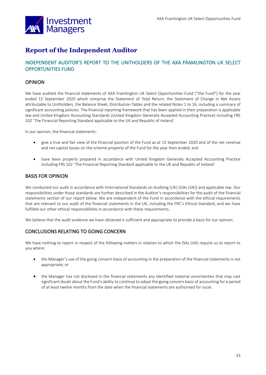

## <span id="page-32-0"></span>**Report of the Independent Auditor**

## INDEPENDENT AUDITOR'S REPORT TO THE UNITHOLDERS OF THE AXA FRAMLINGTON UK SELECT OPPORTUNITIES FUND

### OPINION

We have audited the financial statements of AXA Framlington UK Select Opportunities Fund ("the Fund") for the year ended 15 September 2020 which comprise the Statement of Total Return, the Statement of Change in Net Assets attributable to Unitholders, the Balance Sheet, Distribution Tables and the related Notes 1 to 16, including a summary of significant accounting policies. The financial reporting framework that has been applied in their preparation is applicable law and United Kingdom Accounting Standards (United Kingdom Generally Accepted Accounting Practice) including FRS 102 'The Financial Reporting Standard applicable to the UK and Republic of Ireland'.

In our opinion, the financial statements:

- give a true and fair view of the financial position of the Fund as at 15 September 2020 and of the net revenue and net capital losses on the scheme property of the Fund for the year then ended; and
- have been properly prepared in accordance with United Kingdom Generally Accepted Accounting Practice including FRS 102 'The Financial Reporting Standard applicable to the UK and Republic of Ireland'.

### BASIS FOR OPINION

We conducted our audit in accordance with International Standards on Auditing (UK) (ISAs (UK)) and applicable law. Our responsibilities under those standards are further described in the Auditor's responsibilities for the audit of the financial statements section of our report below. We are independent of the Fund in accordance with the ethical requirements that are relevant to our audit of the financial statements in the UK, including the FRC's Ethical Standard, and we have fulfilled our other ethical responsibilities in accordance with these requirements.

We believe that the audit evidence we have obtained is sufficient and appropriate to provide a basis for our opinion.

## CONCLUSIONS RELATING TO GOING CONCERN

We have nothing to report in respect of the following matters in relation to which the ISAs (UK) require us to report to you where:

- the Manager's use of the going concern basis of accounting in the preparation of the financial statements is not appropriate; or
- the Manager has not disclosed in the financial statements any identified material uncertainties that may cast significant doubt about the Fund's ability to continue to adopt the going concern basis of accounting for a period of at least twelve months from the date when the financial statements are authorised for issue.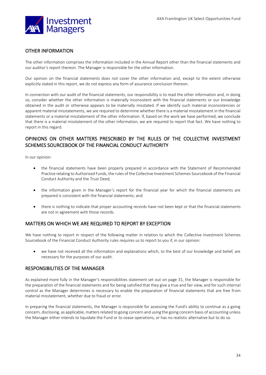

### OTHER INFORMATION

The other information comprises the information included in the Annual Report other than the financial statements and our auditor's report thereon. The Manager is responsible for the other information.

Our opinion on the financial statements does not cover the other information and, except to the extent otherwise explicitly stated in this report, we do not express any form of assurance conclusion thereon.

In connection with our audit of the financial statements, our responsibility is to read the other information and, in doing so, consider whether the other information is materially inconsistent with the financial statements or our knowledge obtained in the audit or otherwise appears to be materially misstated. If we identify such material inconsistencies or apparent material misstatements, we are required to determine whether there is a material misstatement in the financial statements or a material misstatement of the other information. If, based on the work we have performed, we conclude that there is a material misstatement of the other information, we are required to report that fact. We have nothing to report in this regard.

## OPINIONS ON OTHER MATTERS PRESCRIBED BY THE RULES OF THE COLLECTIVE INVESTMENT SCHEMES SOURCEBOOK OF THE FINANCIAL CONDUCT AUTHORITY

In our opinion:

- the financial statements have been properly prepared in accordance with the Statement of Recommended Practice relating to Authorised Funds, the rules of the Collective Investment Schemes Sourcebook of the Financial Conduct Authority and the Trust Deed;
- the information given in the Manager's report for the financial year for which the financial statements are prepared is consistent with the financial statements; and
- there is nothing to indicate that proper accounting records have not been kept or that the financial statements are not in agreement with those records.

### MATTERS ON WHICH WE ARE REQUIRED TO REPORT BY EXCEPTION

We have nothing to report in respect of the following matter in relation to which the Collective Investment Schemes Sourcebook of the Financial Conduct Authority rules requires us to report to you if, in our opinion:

• we have not received all the information and explanations which, to the best of our knowledge and belief, are necessary for the purposes of our audit.

#### RESPONSIBILITIES OF THE MANAGER

As explained more fully in the Manager's responsibilities statement set out on page 31, the Manager is responsible for the preparation of the financial statements and for being satisfied that they give a true and fair view, and for such internal control as the Manager determines is necessary to enable the preparation of financial statements that are free from material misstatement, whether due to fraud or error.

In preparing the financial statements, the Manager is responsible for assessing the Fund's ability to continue as a going concern, disclosing, as applicable, matters related to going concern and using the going concern basis of accounting unless the Manager either intends to liquidate the Fund or to cease operations, or has no realistic alternative but to do so.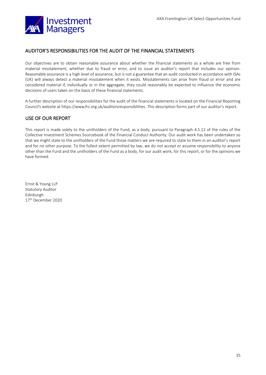

### AUDITOR'S RESPONSIBILITIES FOR THE AUDIT OF THE FINANCIAL STATEMENTS

Our objectives are to obtain reasonable assurance about whether the financial statements as a whole are free from material misstatement, whether due to fraud or error, and to issue an auditor's report that includes our opinion. Reasonable assurance is a high level of assurance, but is not a guarantee that an audit conducted in accordance with ISAs (UK) will always detect a material misstatement when it exists. Misstatements can arise from fraud or error and are considered material if, individually or in the aggregate, they could reasonably be expected to influence the economic decisions of users taken on the basis of these financial statements.

A further description of our responsibilities for the audit of the financial statements is located on the Financial Reporting Council's website at https://www.frc.org.uk/auditorsresponsibilities. This description forms part of our auditor's report.

## USE OF OUR REPORT

This report is made solely to the unitholders of the Fund, as a body, pursuant to Paragraph 4.5.12 of the rules of the Collective Investment Schemes Sourcebook of the Financial Conduct Authority. Our audit work has been undertaken so that we might state to the unitholders of the Fund those matters we are required to state to them in an auditor's report and for no other purpose. To the fullest extent permitted by law, we do not accept or assume responsibility to anyone other than the Fund and the unitholders of the Fund as a body, for our audit work, for this report, or for the opinions we have formed.

Ernst & Young LLP Statutory Auditor Edinburgh 17th December 2020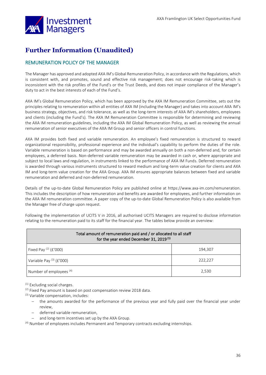

## <span id="page-35-0"></span>**Further Information (Unaudited)**

## REMUNERATION POLICY OF THE MANAGER

The Manager has approved and adopted AXA IM's Global Remuneration Policy, in accordance with the Regulations, which is consistent with, and promotes, sound and effective risk management; does not encourage risk-taking which is inconsistent with the risk profiles of the Fund's or the Trust Deeds, and does not impair compliance of the Manager's duty to act in the best interests of each of the Fund's.

AXA IM's Global Remuneration Policy, which has been approved by the AXA IM Remuneration Committee, sets out the principles relating to remuneration within all entities of AXA IM (including the Manager) and takes into account AXA IM's business strategy, objectives, and risk tolerance, as well as the long-term interests of AXA IM's shareholders, employees and clients (including the Fund's). The AXA IM Remuneration Committee is responsible for determining and reviewing the AXA IM remuneration guidelines, including the AXA IM Global Remuneration Policy, as well as reviewing the annual remuneration of senior executives of the AXA IM Group and senior officers in control functions.

AXA IM provides both fixed and variable remuneration. An employee's fixed remuneration is structured to reward organizational responsibility, professional experience and the individual's capability to perform the duties of the role. Variable remuneration is based on performance and may be awarded annually on both a non-deferred and, for certain employees, a deferred basis. Non-deferred variable remuneration may be awarded in cash or, where appropriate and subject to local laws and regulation, in instruments linked to the performance of AXA IM Funds. Deferred remuneration is awarded through various instruments structured to reward medium and long-term value creation for clients and AXA IM and long-term value creation for the AXA Group. AXA IM ensures appropriate balances between fixed and variable remuneration and deferred and non-deferred remuneration.

Details of the up-to-date Global Remuneration Policy are published online at https://www.axa-im.com/remuneration. This includes the description of how remuneration and benefits are awarded for employees, and further information on the AXA IM remuneration committee. A paper copy of the up-to-date Global Remuneration Policy is also available from the Manager free of charge upon request.

Following the implementation of UCITS V in 2016, all authorised UCITS Managers are required to disclose information relating to the remuneration paid to its staff for the financial year. The tables below provide an overview:

| Total amount of remuneration paid and / or allocated to all staff<br>for the year ended December 31, 2019 <sup>(1)</sup> |         |  |  |
|--------------------------------------------------------------------------------------------------------------------------|---------|--|--|
| Fixed Pay $(2)$ (£'000)                                                                                                  | 194,307 |  |  |
| Variable Pay $(3)$ (£'000)                                                                                               | 222,227 |  |  |
| Number of employees <sup>(4)</sup>                                                                                       | 2,530   |  |  |

(1) Excluding social charges.

<sup>(2)</sup> Fixed Pay amount is based on post compensation review 2018 data.

(3) Variable compensation, includes:

- − the amounts awarded for the performance of the previous year and fully paid over the financial year under review,
- − deferred variable remuneration,
- − and long-term incentives set up by the AXA Group.

(4) Number of employees includes Permanent and Temporary contracts excluding internships.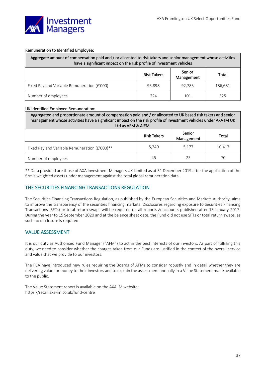#### Remuneration to Identified Employee:

| Aggregate amount of compensation paid and / or allocated to risk takers and senior management whose activities<br>have a significant impact on the risk profile of investment vehicles |                    |                      |         |  |
|----------------------------------------------------------------------------------------------------------------------------------------------------------------------------------------|--------------------|----------------------|---------|--|
|                                                                                                                                                                                        | <b>Risk Takers</b> | Senior<br>Management | Total   |  |
| Fixed Pay and Variable Remuneration (£'000)                                                                                                                                            | 93,898             | 92,783               | 186,681 |  |
| Number of employees                                                                                                                                                                    | 224                | 101                  | 325     |  |

#### UK Identified Employee Remuneration:

| Aggregated and proportionate amount of compensation paid and / or allocated to UK based risk takers and senior<br>management whose activities have a significant impact on the risk profile of investment vehicles under AXA IM UK<br>Ltd as AFM & AIFM. |                    |                      |        |
|----------------------------------------------------------------------------------------------------------------------------------------------------------------------------------------------------------------------------------------------------------|--------------------|----------------------|--------|
|                                                                                                                                                                                                                                                          | <b>Risk Takers</b> | Senior<br>Management | Total  |
| Fixed Pay and Variable Remuneration (£'000)**                                                                                                                                                                                                            | 5,240              | 5,177                | 10,417 |
| Number of employees                                                                                                                                                                                                                                      | 45                 | 25                   | 70     |

\*\* Data provided are those of AXA Investment Managers UK Limited as at 31 December 2019 after the application of the firm's weighted assets under management against the total global remuneration data.

### THE SECURITIES FINANCING TRANSACTIONS REGULATION

The Securities Financing Transactions Regulation, as published by the European Securities and Markets Authority, aims to improve the transparency of the securities financing markets. Disclosures regarding exposure to Securities Financing Transactions (SFTs) or total return swaps will be required on all reports & accounts published after 13 January 2017. During the year to 15 September 2020 and at the balance sheet date, the Fund did not use SFTs or total return swaps, as such no disclosure is required.

### VALUE ASSESSMENT

It is our duty as Authorised Fund Manager ("AFM") to act in the best interests of our investors. As part of fulfilling this duty, we need to consider whether the charges taken from our Funds are justified in the context of the overall service and value that we provide to our investors.

The FCA have introduced new rules requiring the Boards of AFMs to consider robustly and in detail whether they are delivering value for money to their investors and to explain the assessment annually in a Value Statement made available to the public.

The Value Statement report is available on the AXA IM website: https://retail.axa-im.co.uk/fund-centre